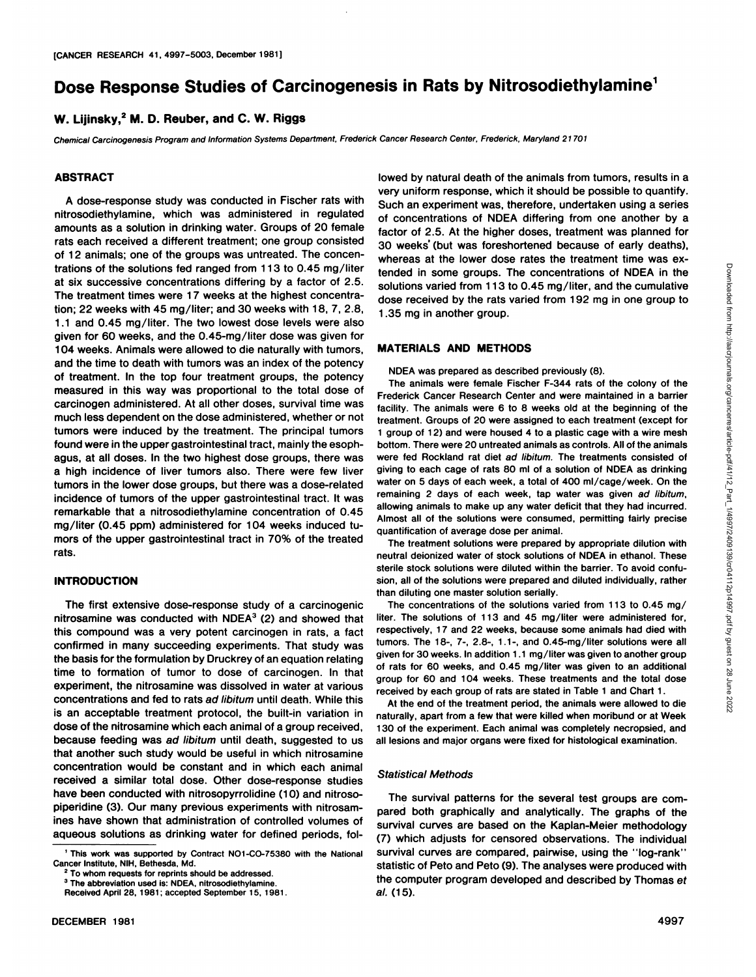# **Dose Response Studies of Carcinogenesis in Rats by Nitrosodiethylamine1**

# **W. Lijinsky,2 M. D. Reuber, and C. W. Riggs**

Chemical Carcinogenesis Program and Information Systems Department, Frederick Cancer Research Center, Frederick, Maryland 21701

### **ABSTRACT**

A dose-response study was conducted in Fischer rats with nitrosodiethylamine, which was administered in regulated amounts as a solution in drinking water. Groups of 20 female rats each received a different treatment; one group consisted 30 weeks' (but was foreshortened because of early deaths), of 12 animals; one of the groups was untreated. The concen trations of the solutions fed ranged from 113 to 0.45 mg/liter at six successive concentrations differing by a factor of 2.5. The treatment times were 17 weeks at the highest concentra tion; 22 weeks with 45 mg/liter; and 30 weeks with 18, 7, 2.8, 1.1 and 0.45 mg/liter. The two lowest dose levels were also given for60 weeks, and the 0.45-mg/liter dose was given for 104 weeks. Animals were allowed to die naturally with tumors, and the time to death with tumors was an index of the potency of treatment. In the top four treatment groups, the potency measured in this way was proportional to the total dose of carcinogen administered. At all other doses, survival time was much less dependent on the dose administered, whether or not tumors were induced by the treatment. The principal tumors found were in the upper gastrointestinal tract, mainly the esoph agus, at all doses. In the two highest dose groups, there was a high incidence of liver tumors also. There were few liver tumors in the lower dose groups, but there was a dose-related incidence of tumors of the upper gastrointestinal tract. It was remarkable that a nitrosodiethylamine concentration of 0.45 mg/liter (0.45 ppm) administered for 104 weeks induced tu mors of the upper gastrointestinal tract in 70% of the treated rats.

#### **INTRODUCTION**

The first extensive dose-response study of a carcinogenic nitrosamine was conducted with  $NDEA<sup>3</sup>$  (2) and showed that this compound was a very potent carcinogen in rats, a fact confirmed in many succeeding experiments. That study was the basis for the formulation by Druckrey of an equation relating time to formation of tumor to dose of carcinogen. In that experiment, the nitrosamine was dissolved in water at various concentrations and fed to rats ad libitum until death. While this is an acceptable treatment protocol, the built-in variation in dose of the nitrosamine which each animal of a group received, because feeding was ad libitum until death, suggested to us that another such study would be useful in which nitrosamine concentration would be constant and in which each animal received a similar total dose. Other dose-response studies have been conducted with nitrosopyrrolidine (10) and nitrosopiperidine (3). Our many previous experiments with nitrosamines have shown that administration of controlled volumes of aqueous solutions as drinking water for defined periods, followed by natural death of the animals from tumors, results in a very uniform response, which it should be possible to quantify. Such an experiment was, therefore, undertaken using a series of concentrations of NDEA differing from one another by a factor of 2.5. At the higher doses, treatment was planned for whereas at the lower dose rates the treatment time was exsolutions varied from 113 to 0.45 mg/liter, and the cumulative dose received by the rats varied from 192 mg in one group to 1.35 mg in another group.

#### **MATERIALS AND METHODS**

NDEA was prepared as described previously (8).

tended in some groups. The concentrations of NDEA in the solutions varied from 113 to 0.45 mg/liter, and the cumulative solutions varied from 113 to 0.45 mg in one group to 1.35 mg in another group.<br>
MATERIALS AND METHODS The animals were female Fischer F-344 rats of the colony of the Frederick Cancer Research Center and were maintained in a barrier facility. The animals were 6 to 8 weeks old at the beginning of the treatment. Groups of 20 were assigned to each treatment (except for 1 group of 12) and were housed 4 to a plastic cage with a wire mesh bottom. There were 20 untreated animals as controls. All of the animals were fed Rockland rat diet ad libitum. The treatments consisted of giving to each cage of rats 80 ml of a solution of NDEA as drinking water on 5 days of each week, a total of 400 ml/cage/week. On the remaining 2 days of each week, tap water was given ad libitum, allowing animals to make up any water deficit that they had incurred. Almost all of the solutions were consumed, permitting fairly precise quantification of average dose per animal.

The treatment solutions were prepared by appropriate dilution with neutral deionized water of stock solutions of NDEA in ethanol. These sterile stock solutions were diluted within the barrier. To avoid confu sion, all of the solutions were prepared and diluted individually, rather than diluting one master solution serially.

The concentrations of the solutions varied from 113 to 0.45 mg/ liter. The solutions of 113 and 45 mg/liter were administered for, respectively, 17 and 22 weeks, because some animals had died with tumors. The 18-, 7-, 2.8-, 1.1-, and 0.45-mg/liter solutions were all given for 30 weeks. In addition 1.1 mg/liter was given to another group of rats for 60 weeks, and 0.45 mg/liter was given to an additional group for 60 and 104 weeks. These treatments and the total dose received by each group of rats are stated in Table 1 and Chart 1.

At the end of the treatment period, the animals were allowed to die naturally, apart from a few that were killed when moribund or at Week 130 of the experiment. Each animal was completely necropsied, and all lesions and major organs were fixed for histological examination.

#### Statistical Methods

The survival patterns for the several test groups are com pared both graphically and analytically. The graphs of the survival curves are based on the Kaplan-Meier methodology (7) which adjusts for censored observations. The individual survival curves are compared, pairwise, using the "log-rank" statistic of Peto and Peto (9). The analyses were produced with the computer program developed and described by Thomas ef al. (15).

<sup>&#</sup>x27; This work was supported by Contract NO1-CO-75380 with the National Cancer Institute, NIH, Bethesda, Md.

To whom requests for reprints should be addressed.

<sup>&</sup>lt;sup>3</sup> The abbreviation used is: NDEA, nitrosodiethylamine. Received April 28, 1981; accepted September 15, 1981.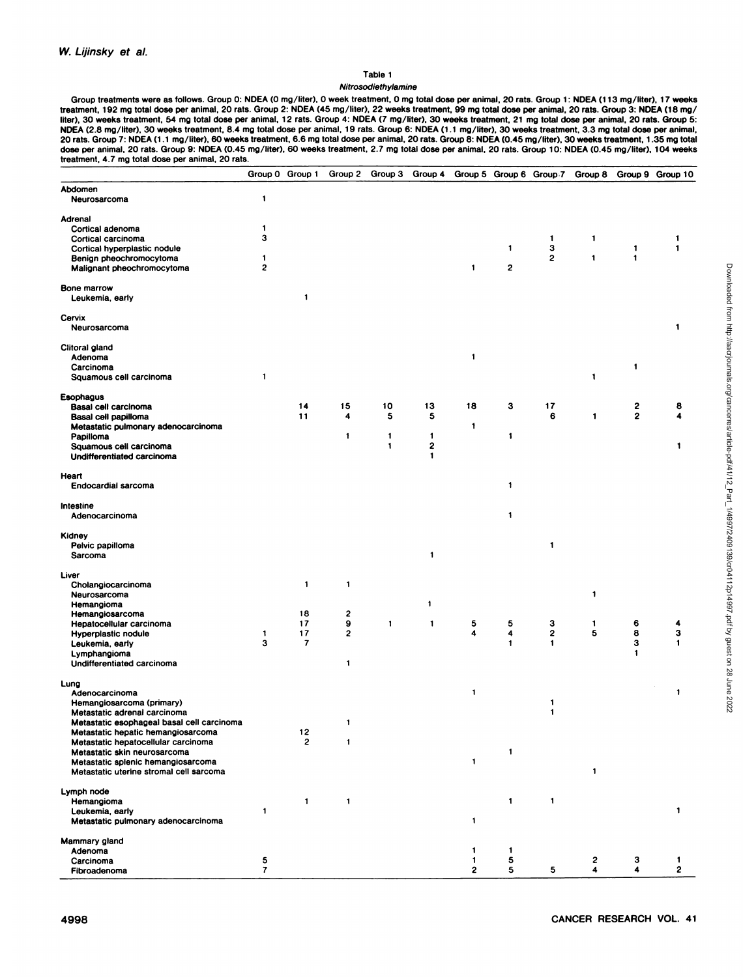#### Table 1

#### Nitrosodiethylamine

Group treatments were as follows. Group 0: NDEA (0 mg/liter), 0 week treatment, 0 mg total dose per animal, 20 rats. Group 1: NDEA (113 mg/liter), 17 weeks treatment, 192 mg total dose per animal, 20 rats. Group 2: NDEA (45 mg/liter), 22 weeks treatment, 99 mg total dose per animal, 20 rats. Group 3: NDEA (18 mg/<br>liter), 30 weeks treatment, 54 mg total dose per animal, 12 rat NDEA (2.8 mg/liter). 30 weeks treatment, 8.4 mg total dose per animal, 19 rats. Group 6: NDEA (1.1 mg/liter), 30 weeks treatment, 3.3 mg total dose per animal, 20 rats. Group 7: NDEA (1.1 mg/liter), 60 weeks treatment, 6.6 mg total dose per animal, 20 rats. Group 8: NDEA (0.45 mg/liter), 30 weeks treatment, 1.35 mg total dose per animal. 20 rats. Group 9: NDEA (0.45 mg/liter), 60 weeks treatment, 2.7 mg total dose per animal. 20 rats. Group 10: NDEA (0.45 mg/liter), 104 weeks treatment, 4.7 mg total dose per animal, 20 rats.

|                                                       |                | Group 0 Group 1          | Group 2                 | Group 3      | Group 4           |              | Group 5 Group 6 Group 7 |              | Group 8      |                | Group 9 Group 10 |
|-------------------------------------------------------|----------------|--------------------------|-------------------------|--------------|-------------------|--------------|-------------------------|--------------|--------------|----------------|------------------|
| Abdomen                                               |                |                          |                         |              |                   |              |                         |              |              |                |                  |
| Neurosarcoma                                          | 1              |                          |                         |              |                   |              |                         |              |              |                |                  |
| Adrenal                                               |                |                          |                         |              |                   |              |                         |              |              |                |                  |
| Cortical adenoma                                      | 1              |                          |                         |              |                   |              |                         |              |              |                |                  |
| Cortical carcinoma                                    | 3              |                          |                         |              |                   |              |                         | 1            | 1            |                | 1                |
| Cortical hyperplastic nodule                          |                |                          |                         |              |                   |              | $\mathbf{1}$            | 3            |              | $\mathbf{1}$   | $\mathbf{1}$     |
| Benign pheochromocytoma                               | 1              |                          |                         |              |                   |              |                         | 2            | 1            | $\mathbf{t}$   |                  |
| Malignant pheochromocytoma                            | 2              |                          |                         |              |                   | 1            | $\mathbf{2}$            |              |              |                |                  |
| <b>Bone marrow</b><br>Leukemia, early                 |                | $\mathbf{1}$             |                         |              |                   |              |                         |              |              |                |                  |
| Cervix<br>Neurosarcoma                                |                |                          |                         |              |                   |              |                         |              |              |                | 1                |
| Clitoral gland                                        |                |                          |                         |              |                   |              |                         |              |              |                |                  |
| Adenoma                                               |                |                          |                         |              |                   | 1            |                         |              |              |                |                  |
| Carcinoma                                             |                |                          |                         |              |                   |              |                         |              |              | $\mathbf{1}$   |                  |
| Squamous cell carcinoma                               | 1              |                          |                         |              |                   |              |                         |              | 1            |                |                  |
| Esophagus                                             |                |                          |                         |              |                   |              |                         |              |              |                |                  |
| Basal cell carcinoma                                  |                | 14                       | 15                      | 10           | 13                | 18           | з                       | 17           |              | 2              | 8                |
| Basal cell papilloma                                  |                | 11                       | 4                       | 5            | 5                 |              |                         | 6            | $\mathbf{1}$ | $\overline{2}$ | 4                |
| Metastatic pulmonary adenocarcinoma                   |                |                          |                         |              |                   | 1            |                         |              |              |                |                  |
| Papilloma                                             |                |                          | $\mathbf{1}$            | $\mathbf{1}$ | 1                 |              | $\mathbf{1}$            |              |              |                |                  |
| Squamous cell carcinoma<br>Undifferentiated carcinoma |                |                          |                         | $\mathbf{1}$ | 2<br>$\mathbf{1}$ |              |                         |              |              |                | 1                |
| Heart                                                 |                |                          |                         |              |                   |              |                         |              |              |                |                  |
| <b>Endocardial sarcoma</b>                            |                |                          |                         |              |                   |              | $\mathbf{1}$            |              |              |                |                  |
| Intestine<br>Adenocarcinoma                           |                |                          |                         |              |                   |              | $\mathbf{1}$            |              |              |                |                  |
| Kidney                                                |                |                          |                         |              |                   |              |                         |              |              |                |                  |
| Pelvic papilloma<br>Sarcoma                           |                |                          |                         |              | $\mathbf{1}$      |              |                         | 1            |              |                |                  |
| Liver                                                 |                |                          |                         |              |                   |              |                         |              |              |                |                  |
| Cholangiocarcinoma                                    |                | $\mathbf{1}$             | $\mathbf{1}$            |              |                   |              |                         |              |              |                |                  |
| Neurosarcoma                                          |                |                          |                         |              |                   |              |                         |              | 1            |                |                  |
| Hemangioma                                            |                |                          |                         |              | 1                 |              |                         |              |              |                |                  |
| Hemangiosarcoma                                       |                | 18                       | $\mathbf{2}$            |              |                   |              |                         |              |              |                |                  |
| Hepatocellular carcinoma                              |                | 17                       | 9                       | $\mathbf{1}$ | $\mathbf{1}$      | 5            | 5                       | З            | 1            | 6              | 4                |
| <b>Hyperplastic nodule</b>                            | 1              | 17                       | $\overline{\mathbf{c}}$ |              |                   | 4            | $\ddot{\mathbf{4}}$     | 2            | 5            | 8              | 3                |
| Leukemia, early                                       | 3              | $\overline{\phantom{a}}$ |                         |              |                   |              | $\mathbf{1}$            | 1            |              | 3              | 1                |
| Lymphangioma<br>Undifferentiated carcinoma            |                |                          | 1                       |              |                   |              |                         |              |              | 1              |                  |
|                                                       |                |                          |                         |              |                   |              |                         |              |              |                |                  |
| Lung<br>Adenocarcinoma                                |                |                          |                         |              |                   | 1            |                         |              |              |                | 1                |
| Hemangiosarcoma (primary)                             |                |                          |                         |              |                   |              |                         | 1            |              |                |                  |
| Metastatic adrenal carcinoma                          |                |                          |                         |              |                   |              |                         | $\mathbf{1}$ |              |                |                  |
| Metastatic esophageal basal cell carcinoma            |                |                          |                         |              |                   |              |                         |              |              |                |                  |
| Metastatic hepatic hemangiosarcoma                    |                | 12                       |                         |              |                   |              |                         |              |              |                |                  |
| Metastatic hepatocellular carcinoma                   |                | 2                        | 1                       |              |                   |              |                         |              |              |                |                  |
| Metastatic skin neurosarcoma                          |                |                          |                         |              |                   |              | $\mathbf{1}$            |              |              |                |                  |
| Metastatic splenic hemangiosarcoma                    |                |                          |                         |              |                   | $\mathbf{1}$ |                         |              |              |                |                  |
| Metastatic uterine stromal cell sarcoma               |                |                          |                         |              |                   |              |                         |              | 1            |                |                  |
| Lymph node                                            |                |                          |                         |              |                   |              |                         |              |              |                |                  |
| Hemangioma                                            |                | $\mathbf{1}$             | 1                       |              |                   |              | $\mathbf{1}$            | 1            |              |                |                  |
| Leukemia, early                                       | 1              |                          |                         |              |                   |              |                         |              |              |                | 1                |
| Metastatic pulmonary adenocarcinoma                   |                |                          |                         |              |                   | 1            |                         |              |              |                |                  |
| Mammary gland                                         |                |                          |                         |              |                   |              |                         |              |              |                |                  |
| Adenoma                                               |                |                          |                         |              |                   | 1            | $\mathbf{1}$            |              |              |                |                  |
| Carcinoma                                             | 5              |                          |                         |              |                   | 1            | 5                       |              | 2            | з              | 1                |
| Fibroadenoma                                          | $\overline{r}$ |                          |                         |              |                   | $\mathbf{2}$ | 5                       | 5            | 4            | 4              | 2                |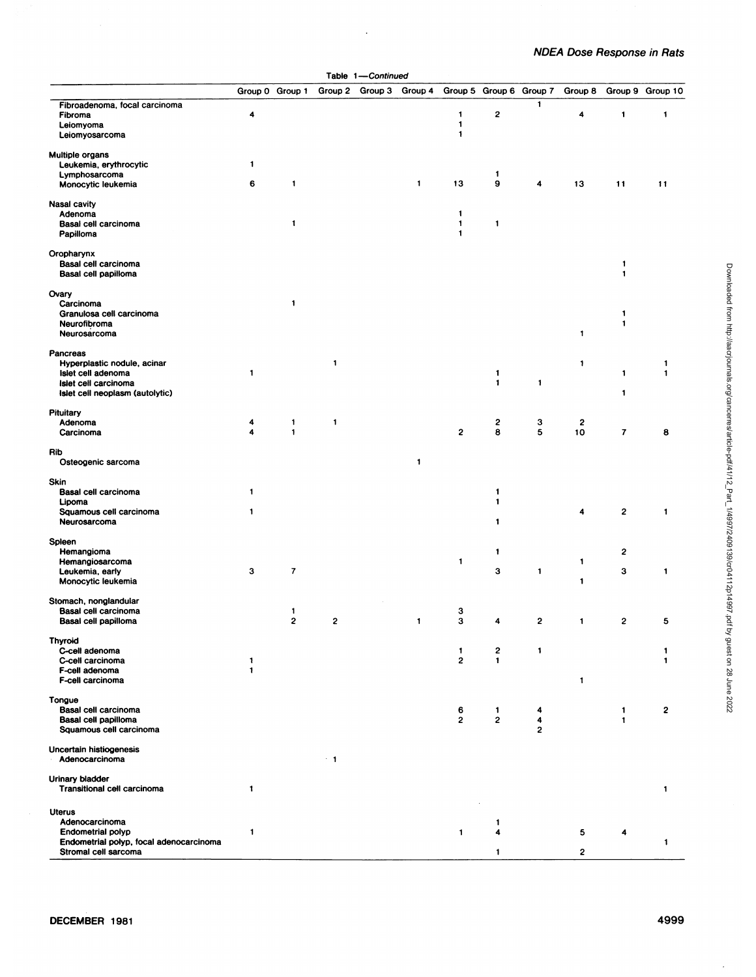|                                                 |                         |                              | тарю                    | $\mathbf{1}$<br>·continuea |                 |                              |                         |                     |                  |                |                  |
|-------------------------------------------------|-------------------------|------------------------------|-------------------------|----------------------------|-----------------|------------------------------|-------------------------|---------------------|------------------|----------------|------------------|
|                                                 | Group 0 Group 1         |                              | Group 2                 |                            | Group 3 Group 4 |                              | Group 5 Group 6 Group 7 |                     | Group 8          |                | Group 9 Group 10 |
| Fibroadenoma, focal carcinoma<br>Fibroma        | 4                       |                              |                         |                            |                 | 1                            | 2                       | 1                   | 4                | $\mathbf{1}$   | $\mathbf{1}$     |
| Leiomyoma                                       |                         |                              |                         |                            |                 | $\mathbf{1}$                 |                         |                     |                  |                |                  |
| Leiomyosarcoma                                  |                         |                              |                         |                            |                 | $\mathbf{1}$                 |                         |                     |                  |                |                  |
| <b>Multiple organs</b>                          |                         |                              |                         |                            |                 |                              |                         |                     |                  |                |                  |
| Leukemia, erythrocytic                          | 1                       |                              |                         |                            |                 |                              |                         |                     |                  |                |                  |
| Lymphosarcoma                                   | 6                       | 1                            |                         |                            | $\blacksquare$  | 13                           | 1<br>9                  | 4                   |                  |                |                  |
| Monocytic leukemia                              |                         |                              |                         |                            |                 |                              |                         |                     | 13               | 11             | 11               |
| <b>Nasal cavity</b>                             |                         |                              |                         |                            |                 |                              |                         |                     |                  |                |                  |
| Adenoma                                         |                         | $\mathbf{1}$                 |                         |                            |                 | $\mathbf{1}$<br>$\mathbf{1}$ |                         |                     |                  |                |                  |
| Basal cell carcinoma<br>Papilloma               |                         |                              |                         |                            |                 | 1                            | 1                       |                     |                  |                |                  |
| Oropharynx                                      |                         |                              |                         |                            |                 |                              |                         |                     |                  |                |                  |
| Basal cell carcinoma                            |                         |                              |                         |                            |                 |                              |                         |                     |                  | 1              |                  |
| Basal cell papilloma                            |                         |                              |                         |                            |                 |                              |                         |                     |                  | 1              |                  |
| Ovary                                           |                         |                              |                         |                            |                 |                              |                         |                     |                  |                |                  |
| Carcinoma                                       |                         | $\mathbf{1}$                 |                         |                            |                 |                              |                         |                     |                  |                |                  |
| Granulosa cell carcinoma                        |                         |                              |                         |                            |                 |                              |                         |                     |                  | 1              |                  |
| Neurofibroma                                    |                         |                              |                         |                            |                 |                              |                         |                     |                  | 1              |                  |
| Neurosarcoma                                    |                         |                              |                         |                            |                 |                              |                         |                     | 1                |                |                  |
| Pancreas                                        |                         |                              |                         |                            |                 |                              |                         |                     |                  |                |                  |
| Hyperplastic nodule, acinar                     | 1                       |                              | $\mathbf{1}$            |                            |                 |                              |                         |                     | 1                |                | 1                |
| Islet cell adenoma<br>Islet cell carcinoma      |                         |                              |                         |                            |                 |                              | 1<br>$\mathbf{1}$       | 1                   |                  | 1              | $\mathbf{1}$     |
| Islet cell neoplasm (autolytic)                 |                         |                              |                         |                            |                 |                              |                         |                     |                  | 1              |                  |
| <b>Pituitary</b>                                |                         |                              |                         |                            |                 |                              |                         |                     |                  |                |                  |
| Adenoma                                         | 4                       | $\mathbf{1}$                 | 1                       |                            |                 |                              | 2                       | 3                   | $\boldsymbol{2}$ |                |                  |
| Carcinoma                                       | $\overline{\mathbf{A}}$ | $\mathbf{1}$                 |                         |                            |                 | $\boldsymbol{2}$             | 8                       | 5                   | 10               | $\overline{7}$ | 8                |
| Rib                                             |                         |                              |                         |                            |                 |                              |                         |                     |                  |                |                  |
| Osteogenic sarcoma                              |                         |                              |                         |                            | $\mathbf{1}$    |                              |                         |                     |                  |                |                  |
| Skin                                            |                         |                              |                         |                            |                 |                              |                         |                     |                  |                |                  |
| Basal cell carcinoma                            | $\mathbf{1}$            |                              |                         |                            |                 |                              | 1                       |                     |                  |                |                  |
| Lipoma                                          | $\mathbf{1}$            |                              |                         |                            |                 |                              | $\mathbf{1}$            |                     | 4                | 2              | $\mathbf{1}$     |
| Squamous cell carcinoma<br>Neurosarcoma         |                         |                              |                         |                            |                 |                              | 1                       |                     |                  |                |                  |
| Spieen                                          |                         |                              |                         |                            |                 |                              |                         |                     |                  |                |                  |
| Hemangioma                                      |                         |                              |                         |                            |                 |                              | 1                       |                     |                  | 2              |                  |
| Hemangiosarcoma                                 |                         |                              |                         |                            |                 | 1                            |                         |                     | 1                |                |                  |
| Leukemia, early                                 | 3                       | $\overline{7}$               |                         |                            |                 |                              | 3                       | 1                   |                  | 3              | 1                |
| Monocytic leukemia                              |                         |                              |                         |                            |                 |                              |                         |                     | 1                |                |                  |
| Stomach, nonglandular                           |                         |                              |                         |                            |                 |                              |                         |                     |                  |                |                  |
| Basal cell carcinoma<br>Basal cell papilloma    |                         | 1<br>$\overline{\mathbf{c}}$ | $\overline{\mathbf{c}}$ |                            | 1               | 3<br>3                       | 4                       | 2                   | 1                | 2              | 5                |
|                                                 |                         |                              |                         |                            |                 |                              |                         |                     |                  |                |                  |
| <b>Thyroid</b><br>C-cell adenoma                |                         |                              |                         |                            |                 | 1                            | 2                       | 1                   |                  |                | 1                |
| C-cell carcinoma                                | $\mathbf{1}$            |                              |                         |                            |                 | $\overline{\mathbf{c}}$      | 1                       |                     |                  |                | 1                |
| F-cell adenoma                                  | $\mathbf{1}$            |                              |                         |                            |                 |                              |                         |                     |                  |                |                  |
| F-cell carcinoma                                |                         |                              |                         |                            |                 |                              |                         |                     | 1                |                |                  |
| Tongue                                          |                         |                              |                         |                            |                 |                              |                         |                     |                  |                |                  |
| Basal cell carcinoma                            |                         |                              |                         |                            |                 | 6                            | 1                       | 4                   |                  | 1              | $\mathbf{2}$     |
| Basal cell papilloma<br>Squamous cell carcinoma |                         |                              |                         |                            |                 | $\overline{2}$               | 2                       | 4<br>$\overline{2}$ |                  | 1              |                  |
|                                                 |                         |                              |                         |                            |                 |                              |                         |                     |                  |                |                  |
| Uncertain histiogenesis<br>Adenocarcinoma       |                         |                              | $+1$                    |                            |                 |                              |                         |                     |                  |                |                  |
|                                                 |                         |                              |                         |                            |                 |                              |                         |                     |                  |                |                  |
| Urinary bladder<br>Transitional cell carcinoma  | $\mathbf{1}$            |                              |                         |                            |                 |                              |                         |                     |                  |                | $\mathbf{1}$     |
|                                                 |                         |                              |                         |                            |                 |                              |                         |                     |                  |                |                  |
| <b>Uterus</b><br>Adenocarcinoma                 |                         |                              |                         |                            |                 |                              | 1                       |                     |                  |                |                  |
| <b>Endometrial polyp</b>                        | 1                       |                              |                         |                            |                 | $\mathbf{1}$                 | 4                       |                     | 5                | 4              |                  |
| Endometrial polyp, focal adenocarcinoma         |                         |                              |                         |                            |                 |                              |                         |                     |                  |                | $\mathbf{1}$     |
| Stromal cell sarcoma                            |                         |                              |                         |                            |                 |                              |                         |                     | 2                |                |                  |

Table 1—Continued

 $\ddot{\phantom{a}}$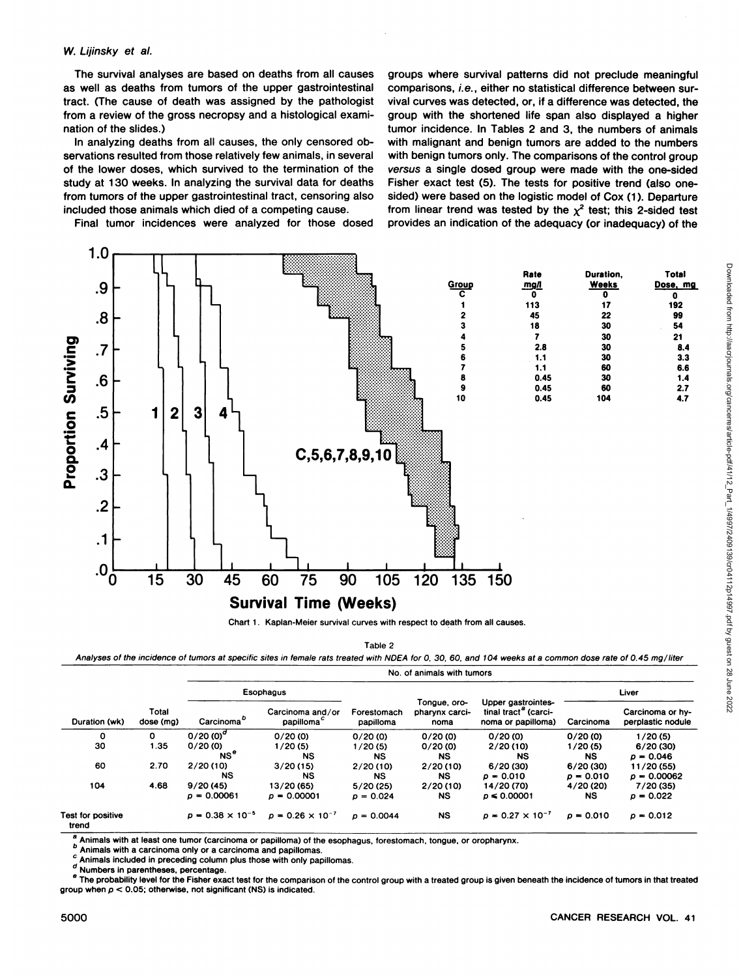#### W. Lijinsky et al.

The survival analyses are based on deaths from all causes as well as deaths from tumors of the upper gastrointestinal tract. (The cause of death was assigned by the pathologist from a review of the gross necropsy and a histological exami nation of the slides.)

In analyzing deaths from all causes, the only censored ob servations resulted from those relatively few animals, in several of the lower doses, which survived to the termination of the study at 130 weeks. In analyzing the survival data for deaths from tumors of the upper gastrointestinal tract, censoring also included those animals which died of a competing cause.

Final tumor incidences were analyzed for those dosed

groups where survival patterns did not preclude meaningful comparisons, i.e., either no statistical difference between sur vival curves was detected, or, if a difference was detected, the group with the shortened life span also displayed a higher tumor incidence. In Tables 2 and 3, the numbers of animals with malignant and benign tumors are added to the numbers with benign tumors only. The comparisons of the control group versus a single dosed group were made with the one-sided Fisher exact test (5). The tests for positive trend (also one sided) were based on the logistic model of Cox (1). Departure from linear trend was tested by the  $\chi^2$  test; this 2-sided test provides an indication of the adequacy (or inadequacy) of the



Chart 1. Kaplan-Meier survival curves with respect to death from all causes.

Table 2

Analyses of the incidence of tumors at specific sites in female rats treated with NDEA for 0, 30, 60, and 104 weeks at a common dose rate of 0.45 mg/liter

No. of animals with tumors

|                            |                    |                                    |                                            |                          | NO. OF AIRINAIS WILLI LUINOIS          |                                                                  |             |                                       |
|----------------------------|--------------------|------------------------------------|--------------------------------------------|--------------------------|----------------------------------------|------------------------------------------------------------------|-------------|---------------------------------------|
|                            |                    |                                    | Esophagus                                  |                          |                                        |                                                                  |             | Liver                                 |
| Duration (wk)              | Total<br>dose (mg) | Carcinoma <sup>®</sup>             | Carcinoma and/or<br>papilloma <sup>c</sup> | Forestomach<br>papilloma | Tongue, oro-<br>pharynx carci-<br>noma | Upper gastrointes-<br>tinal tract" (carci-<br>noma or papilloma) | Carcinoma   | Carcinoma or hy-<br>perplastic nodule |
| 0                          | O                  | 0/20 (0) <sup><math>a</math></sup> | 0/20(0)                                    | 0/20(0)                  | 0/20(0)                                | 0/20(0)                                                          | 0/20(0)     | 1/20(5)                               |
| 30                         | 1.35               | 0/20(0)                            | 1/20(5)                                    | 1/20(5)                  | 0/20(0)                                | 2/20(10)                                                         | 1/20(5)     | 6/20 (30)                             |
|                            |                    | NS <sup>0</sup>                    | <b>NS</b>                                  | <b>NS</b>                | <b>NS</b>                              | <b>NS</b>                                                        | <b>NS</b>   | $\rho = 0.046$                        |
| 60                         | 2.70               | 2/20(10)                           | 3/20(15)                                   | 2/20(10)                 | 2/20(10)                               | 6/20 (30)                                                        | 6/20(30)    | 11/20 (55)                            |
|                            |                    | NS                                 | NS                                         | <b>NS</b>                | <b>NS</b>                              | $p = 0.010$                                                      | $p = 0.010$ | $p = 0.00062$                         |
| 104                        | 4.68               | 9/20(45)                           | 13/20 (65)                                 | 5/20(25)                 | 2/20(10)                               | 14/20 (70)                                                       | 4/20 (20)   | 7/20 (35)                             |
|                            |                    | $p = 0.00061$                      | $p = 0.00001$                              | $p = 0.024$              | <b>NS</b>                              | $p \le 0.00001$                                                  | <b>NS</b>   | $p = 0.022$                           |
| Test for positive<br>trend |                    | $p = 0.38 \times 10^{-5}$          | $p = 0.26 \times 10^{-7}$                  | $p = 0.0044$             | <b>NS</b>                              | $p = 0.27 \times 10^{-7}$                                        | $p = 0.010$ | $p = 0.012$                           |

Animals with at least one tumor (carcinoma or papilloma) of the esophagus, forestomach, tongue, or oropharynx.

**6 Animals with a carcinoma only or a carcinoma and papillomas.** 

Animals included in preceding column plus those with only papillomas.

d Numbers in parentheses, percentage.<br>The probability level for the Fisher exact test for the comparison of the control group with a treated group is given beneath the incidence of tumors in that treated group when  $p < 0.05$ ; otherwise, not significant (NS) is indicated.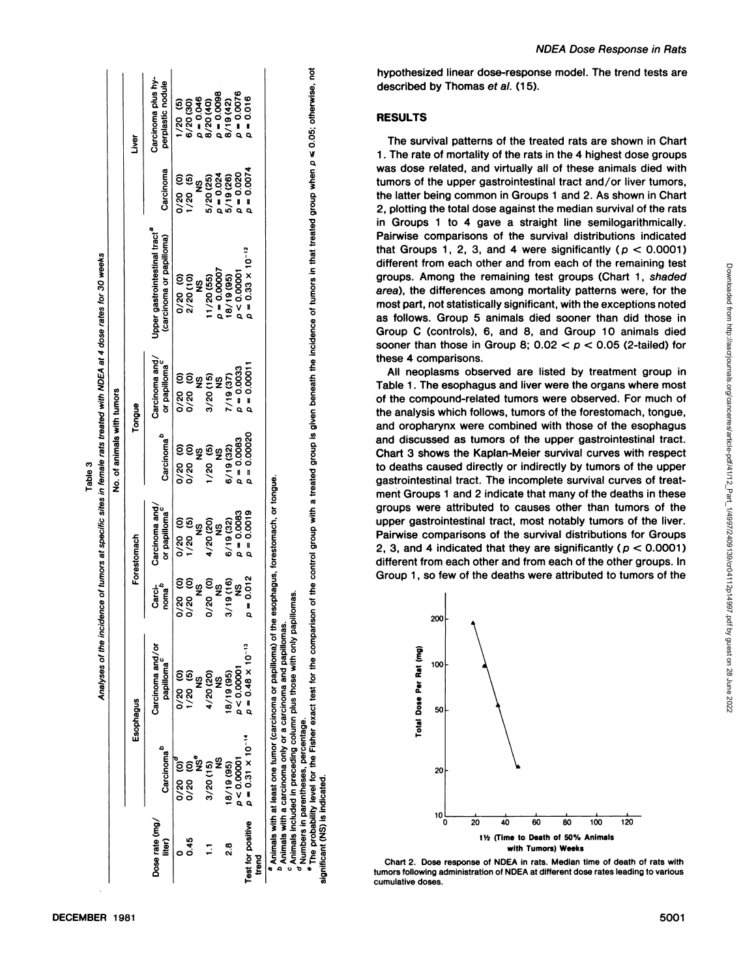| Carcinoma <sup>b</sup><br>$0/20$ (0)<br>NS <sup>e</sup><br>p < 0.00001<br>$0/20$ (0) <sup>c</sup><br>3/20(15)<br>18/19 (95)<br>Dose rate (mg/<br>est for positive<br>0.45<br>liter)<br>8<br>20<br>Ξ |                                                                                                                                                                                                                                                                                                                                                                                                                                                                 |                  |                                    | No. of animals with tumors |                                |                                                                       |                             |                                         |
|-----------------------------------------------------------------------------------------------------------------------------------------------------------------------------------------------------|-----------------------------------------------------------------------------------------------------------------------------------------------------------------------------------------------------------------------------------------------------------------------------------------------------------------------------------------------------------------------------------------------------------------------------------------------------------------|------------------|------------------------------------|----------------------------|--------------------------------|-----------------------------------------------------------------------|-----------------------------|-----------------------------------------|
|                                                                                                                                                                                                     | Esophagus                                                                                                                                                                                                                                                                                                                                                                                                                                                       |                  | Forestomach                        |                            | Tongue                         |                                                                       |                             | Liver                                   |
|                                                                                                                                                                                                     | Carcinoma and/or<br>papilloma                                                                                                                                                                                                                                                                                                                                                                                                                                   | Carci-<br>noma   | Carcinoma and<br>or papilloma      | Carcinoma <sup>b</sup>     | Carcinoma and/<br>or papilloma | Upper gastrointestinal tract <sup>a</sup><br>(carcinoma or papilloma) | Carcinoma                   | Carcinoma plus hy-<br>perplastic nodule |
|                                                                                                                                                                                                     | $0/20$ (0)                                                                                                                                                                                                                                                                                                                                                                                                                                                      | 0/20<br>0/20     | 0/20 (5)<br>1/20 (5)               | 0/20                       | ĝ<br>88<br>08<br>00            | 0/20(0)                                                               | 0/20<br>0/20                | 1/20(5)                                 |
|                                                                                                                                                                                                     | 1/20(5)<br>$\frac{3}{2}$                                                                                                                                                                                                                                                                                                                                                                                                                                        | $0/20$ (0)<br>NS | $\frac{9}{2}$                      | <u>ទទនិទនិ</u><br>0/20     |                                | 2/20(10)<br>ပ္စ                                                       | 1/20(5)<br><u>ფ</u>         | $p = 0.046$<br>6/20 (30)                |
|                                                                                                                                                                                                     | 4/20 (20)                                                                                                                                                                                                                                                                                                                                                                                                                                                       |                  | 4/20 (20)                          | 1/20                       | 3/20(15)                       | 1/20(55)                                                              | 5/20(25)                    | 8/20 (40)                               |
|                                                                                                                                                                                                     | $\frac{3}{2}$<br>9<br>2                                                                                                                                                                                                                                                                                                                                                                                                                                         | $0/20$ (0)       | ပ္စ                                |                            | ပ္စ                            | $p = 0.00007$                                                         |                             | $p = 0.0098$                            |
|                                                                                                                                                                                                     | 18/19 (95)                                                                                                                                                                                                                                                                                                                                                                                                                                                      | 3/19(16)         | 6/19(32)                           | 6/19 (32)                  | 7/19(37)                       | 18/19 (95)                                                            | $\rho = 0.024$<br>5/19 (26) | 8/19 (42)                               |
|                                                                                                                                                                                                     | p < 0.00001                                                                                                                                                                                                                                                                                                                                                                                                                                                     | <u>ფ</u>         | $p = 0.0083$                       | $\rho = 0.0083$            | $p = 0.0033$                   | p < 0.00001                                                           | $p = 0.020$                 | $p = 0.0076$                            |
| nen<br>E                                                                                                                                                                                            | $p = 0.48 \times 10^{-13}$<br>$p = 0.31 \times 10^{-14}$                                                                                                                                                                                                                                                                                                                                                                                                        | $p = 0.012$      | $p = 0.0019$                       | $\rho = 0.00020$           | $p = 0.00011$                  | $p = 0.33 \times 10^{-12}$                                            | $p = 0.0074$                | 0.016                                   |
| <sup>9</sup> Numbers in parentheses, percentage.<br>gnificant (NS) is indicated.                                                                                                                    | $^\bullet$ The probability level for the Fisher exact test for the comparison of the control group with a treated group is given beneath the incidence of tumors in that treated group when $\rho$ ≤ 0.05; otherwise, not<br><sup>c</sup> Animals included in preceding column plus those with only papillomas.<br>Animals with at least one tumor (carcinoma or papilloma) of the<br><sup>p</sup> Animals with a carcinoma only or a carcinoma and papillomas. |                  | esophagus, forestomach, or tongue. |                            |                                |                                                                       |                             |                                         |
| tur                                                                                                                                                                                                 |                                                                                                                                                                                                                                                                                                                                                                                                                                                                 |                  | To the ald to gim giup 2 di G      |                            |                                | 1wtt2rPtdgamaGst                                                      |                             | h<br>d<br>R                             |

ne tumo<br>ma only<br>eedding<br>es, percu<br>or the Fi

hypothesized linear dose-response model. The trend tests are described by Thomas et al. (15).

**NDEA Dose Response in Rats** 

# **RESULTS**

The survival patterns of the treated rats are shown in Chart 1. The rate of mortality of the rats in the 4 highest dose groups was dose related, and virtually all of these animals died with tumors of the upper gastrointestinal tract and/or liver tumors, the latter being common in Groups 1 and 2. As shown in Chart 2, plotting the total dose against the median survival of the rats in Groups 1 to 4 gave a straight line semilogarithmically. Pairwise comparisons of the survival distributions indicated that Groups 1, 2, 3, and 4 were significantly ( $p < 0.0001$ ) different from each other and from each of the remaining test area), the differences among mortality patterns were, for the most part, not statistically significant, with the exceptions noted as follows. Group 5 animals died sooner than did those in Group C (controls), 6, and 8, and Group 10 animals died sooner than those in Group 8;  $0.02 < p < 0.05$  (2-tailed) for these 4 comparisons.

 $\frac{1}{2}$  and  $\frac{1}{2}$  naise is comparisons of the survival distributions for Groups<br>  $\frac{1}{2}$  and 4 indicated that they are significantly ( $p < 0.0001$ ) decrease), the differences among mortality patterns were, for the remaining test groups. Among the remaining test groups (Chart 1, shaded area), the differences among mortality patterns were, for the acception of Controls All neoplasms observed are listed by treatment group in Table 1. The esophagus and liver were the organs where most of the compound-related tumors were observed. For much of the analysis which follows, tumors of the forestomach, tongue, and oropharynx were combined with those of the esophagus and discussed as tumors of the upper gastrointestinal tract. Chart 3 shows the Kaplan-Meier survival curves with respect to deaths caused directly or indirectly by tumors of the upper gastrointestinal tract. The incomplete survival curves of treat ment Groups 1 and 2 indicate that many of the deaths in these groups were attributed to causes other than tumors of the upper gastrointestinal tract, most notably tumors of the liver. Pairwise comparisons of the survival distributions for Groups different from each other and from each of the other groups. In Group 1, so few of the deaths were attributed to tumors of the



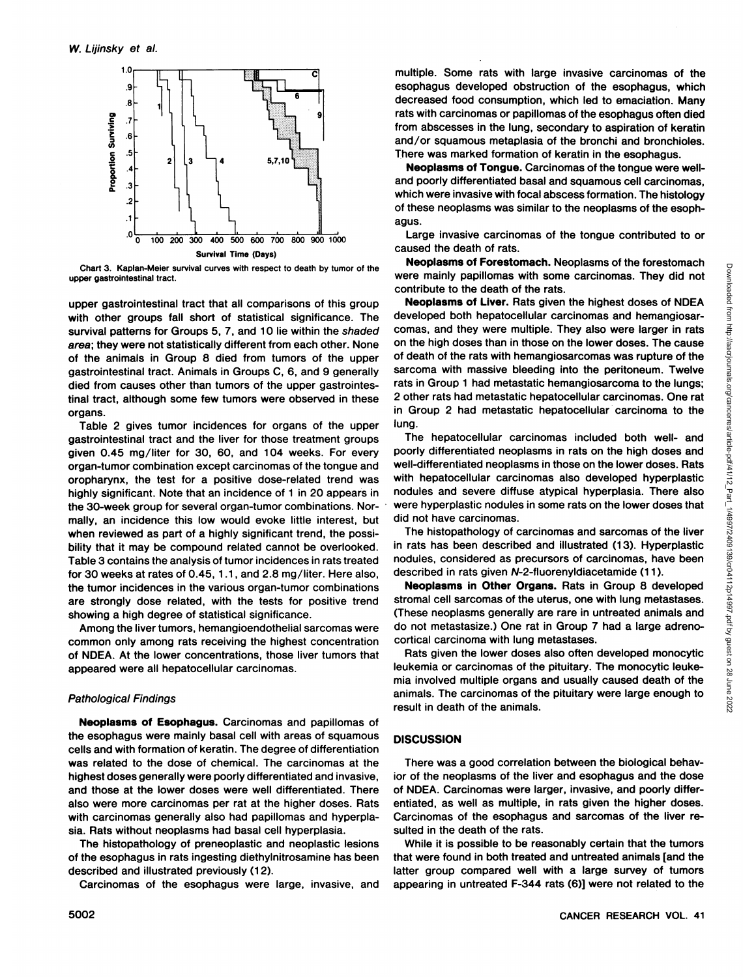

Chart 3. Kaplan-Meier survival curves with respect to death by tumor of the upper gastrointestinal tract.

upper gastrointestinal tract that all comparisons of this group with other groups fall short of statistical significance. The survival patterns for Groups 5, 7, and 10 lie within the shaded area; they were not statistically different from each other. None of the animals in Group 8 died from tumors of the upper gastrointestinal tract. Animals in Groups C,6, and 9 generally died from causes other than tumors of the upper gastrointes tinal tract, although some few tumors were observed in these organs.

Table 2 gives tumor incidences for organs of the upper gastrointestinal tract and the liver for those treatment groups given 0.45 mg/liter for 30, 60, and 104 weeks. For every organ-tumor combination except carcinomas of the tongue and oropharynx, the test for a positive dose-related trend was highly significant. Note that an incidence of 1 in 20 appears in the 30-week group for several organ-tumor combinations. Nor mally, an incidence this low would evoke little interest, but when reviewed as part of a highly significant trend, the possibility that it may be compound related cannot be overlooked. Table 3 contains the analysis of tumor incidences in rats treated for 30 weeks at rates of 0.45, 1.1, and 2.8 mg/liter. Here also, the tumor incidences in the various organ-tumor combinations are strongly dose related, with the tests for positive trend showing a high degree of statistical significance.

Among the liver tumors, hemangioendothelial sarcomas were common only among rats receiving the highest concentration of NDEA. At the lower concentrations, those liver tumors that appeared were all hepatocellular carcinomas.

#### Pathological Findings

**Neoplasms of Esophagus. Carcinomas and papillomas of** the esophagus were mainly basal cell with areas of squamous cells and with formation of keratin. The degree of differentiation was related to the dose of chemical. The carcinomas at the highest doses generally were poorly differentiated and invasive, and those at the lower doses were well differentiated. There also were more carcinomas per rat at the higher doses. Rats with carcinomas generally also had papillomas and hyperplasia. Rats without neoplasms had basal cell hyperplasia.

The histopathology of preneoplastic and neoplastic lesions of the esophagus in rats ingesting diethylnitrosamine has been described and illustrated previously (12).

Carcinomas of the esophagus were large, invasive, and

multiple. Some rats with large invasive carcinomas of the esophagus developed obstruction of the esophagus, which decreased food consumption, which led to emaciation. Many rats with carcinomas or papillomas of the esophagus often died from abscesses in the lung, secondary to aspiration of keratin and/or squamous metaplasia of the bronchi and bronchioles. There was marked formation of keratin in the esophagus.

**Neoplasms of Tongue. Carcinomas of the tongue were well**and poorly differentiated basal and squamous cell carcinomas, which were invasive with focal abscess formation. The histology of these neoplasms was similar to the neoplasms of the esoph agus.

Large invasive carcinomas of the tongue contributed to or caused the death of rats.

were mainly papillomas with some carcinomas. They did not contribute to the death of the rats.

**Neoplasms of Forestomach.** Neoplasms of the forestomach<br>
minimity papilionas with some carcinomas. They did not<br> **Neoplasms of Liver. Rats given the highest doses of NDEA<br>
Weloped both hepatocellular carcinomas and theman Neoplasms of Liver. Rats given the highest doses of NDEA** developed both hepatocellular carcinomas and hemangiosarcomas, and they were multiple. They also were larger in rats on the high doses than in those on the lower doses. The cause of death of the rats with hemangiosarcomas was rupture of the sarcoma with massive bleeding into the peritoneum. Twelve rats in Group 1 had metastatic hemangiosarcoma to the lungs; 2 other rats had metastatic hepatocellular carcinomas. One rat in Group 2 had metastatic hepatocellular carcinoma to the lung.

The hepatocellular carcinomas included both well- and poorly differentiated neoplasms in rats on the high doses and well-differentiated neoplasms in those on the lower doses. Rats with hepatocellular carcinomas also developed hyperplastic nodules and severe diffuse atypical hyperplasia. There also were hyperplastic nodules in some rats on the lower doses that did not have carcinomas.

The histopathology of carcinomas and sarcomas of the liver in rats has been described and illustrated (13). Hyperplastic nodules, considered as precursors of carcinomas, have been described in rats given N-2-fluorenyldiacetamide (11).

**Neoplasms in Other Organs. Rats in Group 8 developed** stromal cell sarcomas of the uterus, one with lung metastases. (These neoplasms generally are rare in untreated animals and do not metastasize.) One rat in Group 7 had a large adrenocortical carcinoma with lung metastases.

Rats given the lower doses also often developed monocytic leukemia or carcinomas of the pituitary. The monocytic leuke mia involved multiple organs and usually caused death of the animals. The carcinomas of the pituitary were large enough to result in death of the animals.

#### **DISCUSSION**

There was a good correlation between the biological behav ior of the neoplasms of the liver and esophagus and the dose of NDEA. Carcinomas were larger, invasive, and poorly differ entiated, as well as multiple, in rats given the higher doses. Carcinomas of the esophagus and sarcomas of the liver re sulted in the death of the rats.

While it is possible to be reasonably certain that the tumors that were found in both treated and untreated animals [and the latter group compared well with a large survey of tumors appearing in untreated F-344 rats (6)] were not related to the